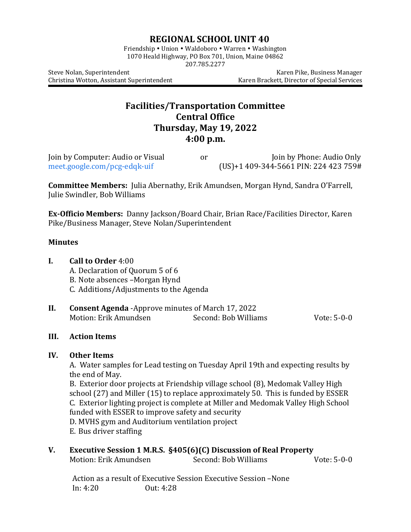## **REGIONAL SCHOOL UNIT 40**

Friendship • Union • Waldoboro • Warren • Washington 1070 Heald Highway, PO Box 701, Union, Maine 04862 207.785.2277

Steve Nolan, Superintendent **Karen Pike, Business Manager** Karen Pike, Business Manager Christina Wotton, Assistant Superintendent Karen Brackett, Director of Special Services

# **Facilities/Transportation Committee Central Office Thursday, May 19, 2022 4:00 p.m.**

Join by Computer: Audio or Visual or Join by Phone: Audio Only [meet.google.com/pcg-edqk-uif](https://meet.google.com/pcg-edqk-uif?hs=122&authuser=2) (US[\)+1 409-344-5661](tel:%E2%80%AA+1%20409-344-5661%E2%80%AC) PIN: 224 423 759#

**Committee Members:** Julia Abernathy, Erik Amundsen, Morgan Hynd, Sandra O'Farrell, Julie Swindler, Bob Williams

**Ex-Officio Members:** Danny Jackson/Board Chair, Brian Race/Facilities Director, Karen Pike/Business Manager, Steve Nolan/Superintendent

### **Minutes**

- **I. Call to Order** 4:00 A. Declaration of Quorum 5 of 6 B. Note absences –Morgan Hynd C. Additions/Adjustments to the Agenda
- **II. Consent Agenda** -Approve minutes of March 17, 2022 Motion: Erik Amundsen Second: Bob Williams Vote: 5-0-0

#### **III. Action Items**

#### **IV. Other Items**

A. Water samples for Lead testing on Tuesday April 19th and expecting results by the end of May.

B. Exterior door projects at Friendship village school (8), Medomak Valley High school (27) and Miller (15) to replace approximately 50. This is funded by ESSER C. Exterior lighting project is complete at Miller and Medomak Valley High School funded with ESSER to improve safety and security

- D. MVHS gym and Auditorium ventilation project
- E. Bus driver staffing
- **V. Executive Session 1 M.R.S. §405(6)(C) Discussion of Real Property**

Motion: Erik Amundsen Second: Bob Williams Vote: 5-0-0

Action as a result of Executive Session Executive Session –None In: 4:20 Out: 4:28